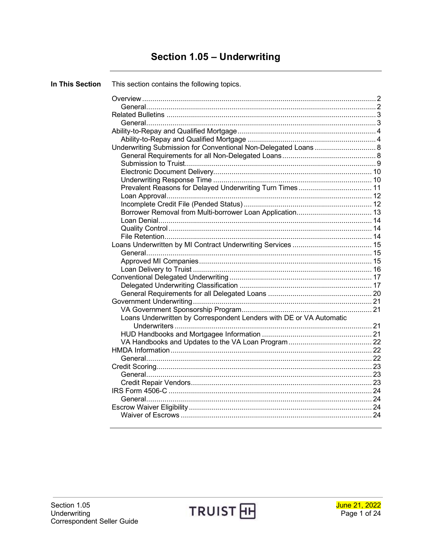# **Section 1.05 - Underwriting**

| <b>In This Section</b> | This section contains the following topics.                         |  |
|------------------------|---------------------------------------------------------------------|--|
|                        |                                                                     |  |
|                        |                                                                     |  |
|                        |                                                                     |  |
|                        |                                                                     |  |
|                        |                                                                     |  |
|                        |                                                                     |  |
|                        |                                                                     |  |
|                        |                                                                     |  |
|                        |                                                                     |  |
|                        |                                                                     |  |
|                        |                                                                     |  |
|                        |                                                                     |  |
|                        | Prevalent Reasons for Delayed Underwriting Turn Times 11            |  |
|                        |                                                                     |  |
|                        |                                                                     |  |
|                        |                                                                     |  |
|                        |                                                                     |  |
|                        |                                                                     |  |
|                        |                                                                     |  |
|                        |                                                                     |  |
|                        |                                                                     |  |
|                        |                                                                     |  |
|                        |                                                                     |  |
|                        |                                                                     |  |
|                        |                                                                     |  |
|                        |                                                                     |  |
|                        |                                                                     |  |
|                        |                                                                     |  |
|                        | Loans Underwritten by Correspondent Lenders with DE or VA Automatic |  |
|                        |                                                                     |  |
|                        |                                                                     |  |
|                        |                                                                     |  |
|                        |                                                                     |  |
|                        |                                                                     |  |
|                        |                                                                     |  |
|                        |                                                                     |  |
|                        |                                                                     |  |
|                        |                                                                     |  |
|                        |                                                                     |  |
|                        |                                                                     |  |
|                        |                                                                     |  |
|                        |                                                                     |  |

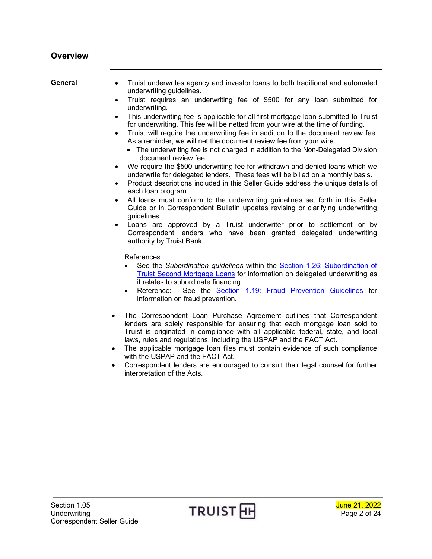<span id="page-1-1"></span><span id="page-1-0"></span>**General** • Truist underwrites agency and investor loans to both traditional and automated underwriting guidelines.

- Truist requires an underwriting fee of \$500 for any loan submitted for underwriting.
- This underwriting fee is applicable for all first mortgage loan submitted to Truist for underwriting. This fee will be netted from your wire at the time of funding.
- Truist will require the underwriting fee in addition to the document review fee. As a reminder, we will net the document review fee from your wire.
	- The underwriting fee is not charged in addition to the Non-Delegated Division document review fee.
- We require the \$500 underwriting fee for withdrawn and denied loans which we underwrite for delegated lenders. These fees will be billed on a monthly basis.
- Product descriptions included in this Seller Guide address the unique details of each loan program.
- All loans must conform to the underwriting guidelines set forth in this Seller Guide or in Correspondent Bulletin updates revising or clarifying underwriting guidelines.
- Loans are approved by a Truist underwriter prior to settlement or by Correspondent lenders who have been granted delegated underwriting authority by Truist Bank.

References:

- See the *Subordination guidelines* within the [Section 1.26: Subordination of](https://www.truistsellerguide.com/manual/cor/general/1.26SubordinationofSunTrustSecondMortgageLoans.pdf)  Truist [Second Mortgage Loans](https://www.truistsellerguide.com/manual/cor/general/1.26SubordinationofSunTrustSecondMortgageLoans.pdf) for information on delegated underwriting as it relates to subordinate financing.
- Reference: See the [Section 1.19: Fraud Prevention Guidelines](https://www.truistsellerguide.com/manual/cor/general/1.19FraudPreventionGuidelines.pdf) for information on fraud prevention.
- The Correspondent Loan Purchase Agreement outlines that Correspondent lenders are solely responsible for ensuring that each mortgage loan sold to Truist is originated in compliance with all applicable federal, state, and local laws, rules and regulations, including the USPAP and the FACT Act.
- The applicable mortgage loan files must contain evidence of such compliance with the USPAP and the FACT Act.
- Correspondent lenders are encouraged to consult their legal counsel for further interpretation of the Acts.

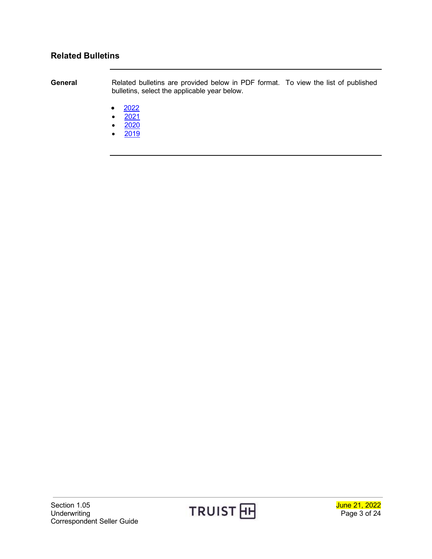### <span id="page-2-0"></span>**Related Bulletins**

<span id="page-2-1"></span>**General** Related bulletins are provided below in PDF format. To view the list of published bulletins, select the applicable year below.

- $\bullet$  [2022](https://www.truistsellerguide.com/manual/cor/bulletins/Related%20Bulletins/2022/CUnderwriting2022.pdf)
- $2021$
- $2020$  $2020$
- $2019$  $2019$

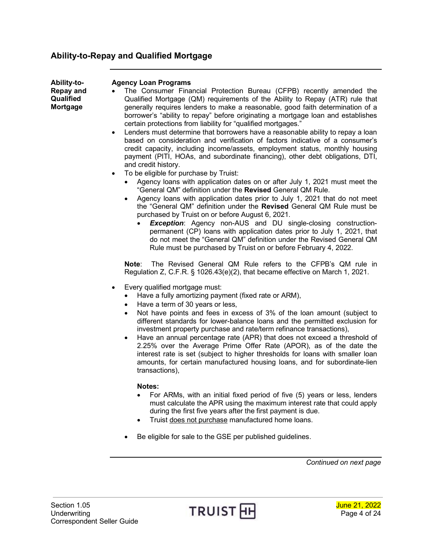### <span id="page-3-0"></span>**Ability-to-Repay and Qualified Mortgage**

<span id="page-3-1"></span>

| Ability-to- |
|-------------|
| Repay and   |
| Qualified   |
| Mortgage    |

#### **Agency Loan Programs**

- The Consumer Financial Protection Bureau (CFPB) recently amended the Qualified Mortgage (QM) requirements of the Ability to Repay (ATR) rule that generally requires lenders to make a reasonable, good faith determination of a borrower's "ability to repay" before originating a mortgage loan and establishes certain protections from liability for "qualified mortgages."
- Lenders must determine that borrowers have a reasonable ability to repay a loan based on consideration and verification of factors indicative of a consumer's credit capacity, including income/assets, employment status, monthly housing payment (PITI, HOAs, and subordinate financing), other debt obligations, DTI, and credit history.
- To be eligible for purchase by Truist:
	- Agency loans with application dates on or after July 1, 2021 must meet the "General QM" definition under the **Revised** General QM Rule.
	- Agency loans with application dates prior to July 1, 2021 that do not meet the "General QM" definition under the **Revised** General QM Rule must be purchased by Truist on or before August 6, 2021.
		- **Exception:** Agency non-AUS and DU single-closing constructionpermanent (CP) loans with application dates prior to July 1, 2021, that do not meet the "General QM" definition under the Revised General QM Rule must be purchased by Truist on or before February 4, 2022.

**Note**: The Revised General QM Rule refers to the CFPB's QM rule in Regulation Z, C.F.R. § 1026.43(e)(2), that became effective on March 1, 2021.

- Every qualified mortgage must:
	- Have a fully amortizing payment (fixed rate or ARM),
	- Have a term of 30 years or less,
	- Not have points and fees in excess of 3% of the loan amount (subject to different standards for lower-balance loans and the permitted exclusion for investment property purchase and rate/term refinance transactions),
	- Have an annual percentage rate (APR) that does not exceed a threshold of 2.25% over the Average Prime Offer Rate (APOR), as of the date the interest rate is set (subject to higher thresholds for loans with smaller loan amounts, for certain manufactured housing loans, and for subordinate-lien transactions),

#### **Notes:**

- For ARMs, with an initial fixed period of five (5) years or less, lenders must calculate the APR using the maximum interest rate that could apply during the first five years after the first payment is due.
- Truist does not purchase manufactured home loans.
- Be eligible for sale to the GSE per published guidelines.

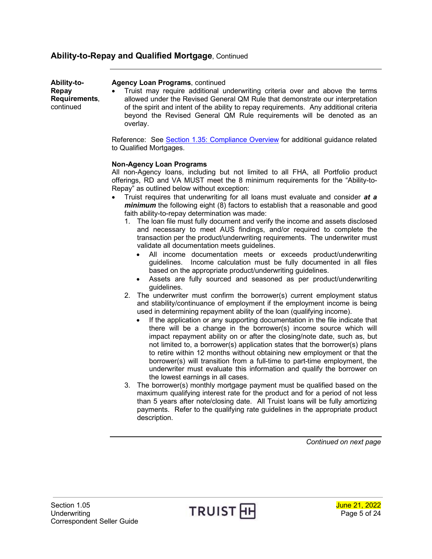#### **Ability-to-Repay and Qualified Mortgage**, Continued

| Ability-to-                         | <b>Agency Loan Programs, continued</b>                                                                                                                                                                                                                                                                                                       |
|-------------------------------------|----------------------------------------------------------------------------------------------------------------------------------------------------------------------------------------------------------------------------------------------------------------------------------------------------------------------------------------------|
| Repay<br>Requirements,<br>continued | Truist may require additional underwriting criteria over and above the terms<br>allowed under the Revised General QM Rule that demonstrate our interpretation<br>of the spirit and intent of the ability to repay requirements. Any additional criteria<br>beyond the Revised General QM Rule requirements will be denoted as an<br>overlay. |
|                                     | Reference: See Section 1.35: Compliance Overview for additional guidance related<br>to Qualified Mortgages.                                                                                                                                                                                                                                  |
|                                     | <b>Non-Agency Loan Programs</b>                                                                                                                                                                                                                                                                                                              |
|                                     | All non-Agency loans, including but not limited to all FHA, all Portfolio product<br>offerings, RD and VA MUST meet the 8 minimum requirements for the "Ability-to-<br>Repay" as outlined below without exception:                                                                                                                           |
|                                     | Truist requires that underwriting for all loans must evaluate and consider at a<br>$\bullet$<br><i>minimum</i> the following eight (8) factors to establish that a reasonable and good<br>faith ability-to-repay determination was made:                                                                                                     |
|                                     | 1. The loan file must fully document and verify the income and assets disclosed<br>and necessary to meet AUS findings, and/or required to complete the<br>transaction per the product/underwriting requirements. The underwriter must<br>validate all documentation meets guidelines.                                                        |

- All income documentation meets or exceeds product/underwriting guidelines. Income calculation must be fully documented in all files based on the appropriate product/underwriting guidelines.
- Assets are fully sourced and seasoned as per product/underwriting guidelines.
- 2. The underwriter must confirm the borrower(s) current employment status and stability/continuance of employment if the employment income is being used in determining repayment ability of the loan (qualifying income).
	- If the application or any supporting documentation in the file indicate that there will be a change in the borrower(s) income source which will impact repayment ability on or after the closing/note date, such as, but not limited to, a borrower(s) application states that the borrower(s) plans to retire within 12 months without obtaining new employment or that the borrower(s) will transition from a full-time to part-time employment, the underwriter must evaluate this information and qualify the borrower on the lowest earnings in all cases.
- 3. The borrower(s) monthly mortgage payment must be qualified based on the maximum qualifying interest rate for the product and for a period of not less than 5 years after note/closing date. All Truist loans will be fully amortizing payments. Refer to the qualifying rate guidelines in the appropriate product description.

*Continued on next page*

**Ability-to-**

Section 1.05 **June 21, 2022** Underwriting  $\begin{array}{ccc} \text{I} & \text{K} & \text{I} \end{array}$   $\begin{array}{ccc} \text{I} & \text{I} & \text{I} \end{array}$   $\begin{array}{ccc} \text{I} & \text{I} & \text{I} \end{array}$   $\begin{array}{ccc} \text{I} & \text{I} & \text{I} \end{array}$   $\begin{array}{ccc} \text{I} & \text{I} & \text{I} \end{array}$   $\begin{array}{ccc} \text{I} & \text{I} & \text{I} \end{array}$ Correspondent Seller Guide



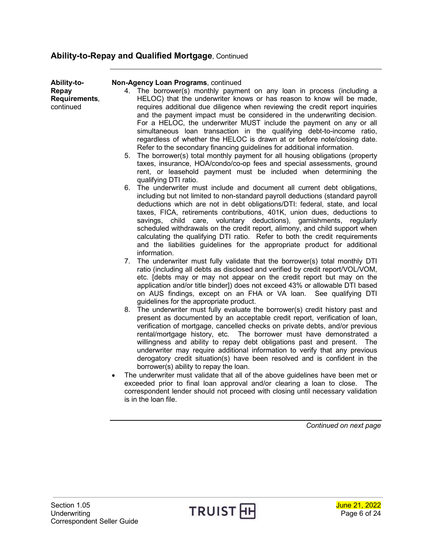# **Ability-to-Repay and Qualified Mortgage**, Continued

| Ability-to-<br>Repay<br>Requirements,<br>continued | Non-Agency Loan Programs, continued<br>The borrower(s) monthly payment on any loan in process (including a<br>4.<br>HELOC) that the underwriter knows or has reason to know will be made,<br>requires additional due diligence when reviewing the credit report inquiries<br>and the payment impact must be considered in the underwriting decision.<br>For a HELOC, the underwriter MUST include the payment on any or all<br>simultaneous loan transaction in the qualifying debt-to-income ratio,<br>regardless of whether the HELOC is drawn at or before note/closing date.<br>Refer to the secondary financing guidelines for additional information.                                                                                                                                                                                              |
|----------------------------------------------------|----------------------------------------------------------------------------------------------------------------------------------------------------------------------------------------------------------------------------------------------------------------------------------------------------------------------------------------------------------------------------------------------------------------------------------------------------------------------------------------------------------------------------------------------------------------------------------------------------------------------------------------------------------------------------------------------------------------------------------------------------------------------------------------------------------------------------------------------------------|
|                                                    | The borrower(s) total monthly payment for all housing obligations (property<br>5.<br>taxes, insurance, HOA/condo/co-op fees and special assessments, ground<br>rent, or leasehold payment must be included when determining the<br>qualifying DTI ratio.                                                                                                                                                                                                                                                                                                                                                                                                                                                                                                                                                                                                 |
|                                                    | 6. The underwriter must include and document all current debt obligations,<br>including but not limited to non-standard payroll deductions (standard payroll<br>deductions which are not in debt obligations/DTI: federal, state, and local<br>taxes, FICA, retirements contributions, 401K, union dues, deductions to<br>savings, child care, voluntary deductions), garnishments, regularly<br>scheduled withdrawals on the credit report, alimony, and child support when<br>calculating the qualifying DTI ratio. Refer to both the credit requirements<br>and the liabilities guidelines for the appropriate product for additional<br>information.                                                                                                                                                                                                 |
|                                                    | 7. The underwriter must fully validate that the borrower(s) total monthly DTI<br>ratio (including all debts as disclosed and verified by credit report/VOL/VOM,<br>etc. [debts may or may not appear on the credit report but may on the<br>application and/or title binder]) does not exceed 43% or allowable DTI based<br>on AUS findings, except on an FHA or VA loan. See qualifying DTI<br>guidelines for the appropriate product.                                                                                                                                                                                                                                                                                                                                                                                                                  |
|                                                    | 8. The underwriter must fully evaluate the borrower(s) credit history past and<br>present as documented by an acceptable credit report, verification of loan,<br>verification of mortgage, cancelled checks on private debts, and/or previous<br>rental/mortgage history, etc. The borrower must have demonstrated a<br>willingness and ability to repay debt obligations past and present. The<br>underwriter may require additional information to verify that any previous<br>derogatory credit situation(s) have been resolved and is confident in the<br>borrower(s) ability to repay the loan.<br>The underwriter must validate that all of the above guidelines have been met or<br>exceeded prior to final loan approval and/or clearing a loan to close. The<br>correspondent lender should not proceed with closing until necessary validation |
|                                                    | is in the loan file.                                                                                                                                                                                                                                                                                                                                                                                                                                                                                                                                                                                                                                                                                                                                                                                                                                     |



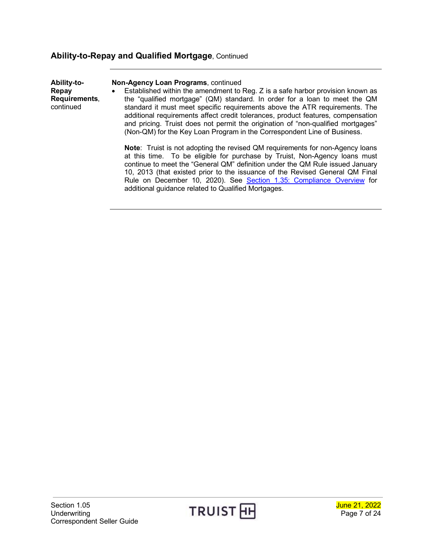# **Ability-to-Repay and Qualified Mortgage**, Continued

| Ability-to-<br>Repay<br>Requirements,<br>continued | Non-Agency Loan Programs, continued<br>Established within the amendment to Reg. Z is a safe harbor provision known as<br>$\bullet$<br>the "qualified mortgage" (QM) standard. In order for a loan to meet the QM<br>standard it must meet specific requirements above the ATR requirements. The<br>additional requirements affect credit tolerances, product features, compensation<br>and pricing. Truist does not permit the origination of "non-qualified mortgages"<br>(Non-QM) for the Key Loan Program in the Correspondent Line of Business. |
|----------------------------------------------------|-----------------------------------------------------------------------------------------------------------------------------------------------------------------------------------------------------------------------------------------------------------------------------------------------------------------------------------------------------------------------------------------------------------------------------------------------------------------------------------------------------------------------------------------------------|
|                                                    | <b>Note:</b> Truist is not adopting the revised QM requirements for non-Agency loans<br>at this time. To be eligible for purchase by Truist, Non-Agency loans must<br>continue to meet the "General QM" definition under the QM Rule issued January<br>10, 2013 (that existed prior to the issuance of the Revised General QM Final<br>Rule on December 10, 2020). See Section 1.35: Compliance Overview for<br>additional guidance related to Qualified Mortgages.                                                                                 |

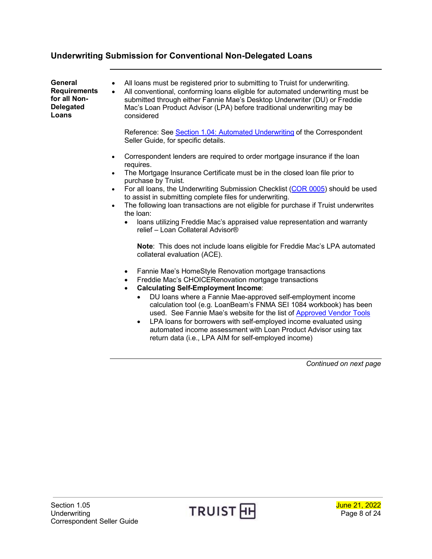<span id="page-7-1"></span><span id="page-7-0"></span>**General Requirements for all Non-Delegated Loans**

- All loans must be registered prior to submitting to Truist for underwriting.
- All conventional, conforming loans eligible for automated underwriting must be submitted through either Fannie Mae's Desktop Underwriter (DU) or Freddie Mac's Loan Product Advisor (LPA) before traditional underwriting may be considered

Reference: Se[e Section 1.04: Automated Underwriting](http://www.truistsellerguide.com/manual/cor/general/1.04AUS.pdf) of the Correspondent Seller Guide, for specific details.

- Correspondent lenders are required to order mortgage insurance if the loan requires.
- The Mortgage Insurance Certificate must be in the closed loan file prior to purchase by Truist.
- For all loans, the Underwriting Submission Checklist [\(COR 0005\)](http://www.truistsellerguide.com/manual/cor/forms/cor0005.pdf) should be used to assist in submitting complete files for underwriting.
- The following loan transactions are not eligible for purchase if Truist underwrites the loan:
	- loans utilizing Freddie Mac's appraised value representation and warranty relief – Loan Collateral Advisor®

**Note**: This does not include loans eligible for Freddie Mac's LPA automated collateral evaluation (ACE).

- Fannie Mae's HomeStyle Renovation mortgage transactions
- Freddie Mac's CHOICERenovation mortgage transactions
- **Calculating Self-Employment Income**:
	- DU loans where a Fannie Mae-approved self-employment income calculation tool (e.g. LoanBeam's FNMA SEI 1084 workbook) has been used. See Fannie Mae's website for the list o[f Approved Vendor Tools](https://singlefamily.fanniemae.com/applications-technology/desktop-underwriter-validation-service/du-validation-service-verification-report-vendors)
	- LPA loans for borrowers with self-employed income evaluated using automated income assessment with Loan Product Advisor using tax return data (i.e., LPA AIM for self-employed income)

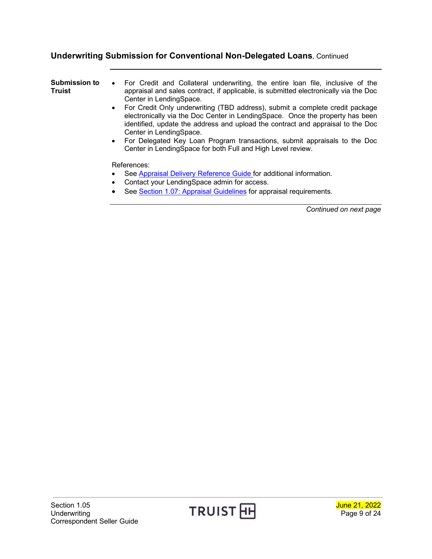<span id="page-8-0"></span>

| Submission to<br>Truist | • For Credit and Collateral underwriting, the entire loan file, inclusive of the<br>appraisal and sales contract, if applicable, is submitted electronically via the Doc<br>Center in LendingSpace.<br>For Credit Only underwriting (TBD address), submit a complete credit package<br>$\bullet$<br>electronically via the Doc Center in LendingSpace. Once the property has been<br>identified, update the address and upload the contract and appraisal to the Doc<br>Center in LendingSpace.<br>For Delegated Key Loan Program transactions, submit appraisals to the Doc<br>$\bullet$ |
|-------------------------|-------------------------------------------------------------------------------------------------------------------------------------------------------------------------------------------------------------------------------------------------------------------------------------------------------------------------------------------------------------------------------------------------------------------------------------------------------------------------------------------------------------------------------------------------------------------------------------------|
|                         | Center in LendingSpace for both Full and High Level review.<br>References:<br>See Appraisal Delivery Reference Guide for additional information.<br>$\bullet$<br>Contact your LendingSpace admin for access.<br>$\bullet$<br>See Section 1.07: Appraisal Guidelines for appraisal requirements.                                                                                                                                                                                                                                                                                           |

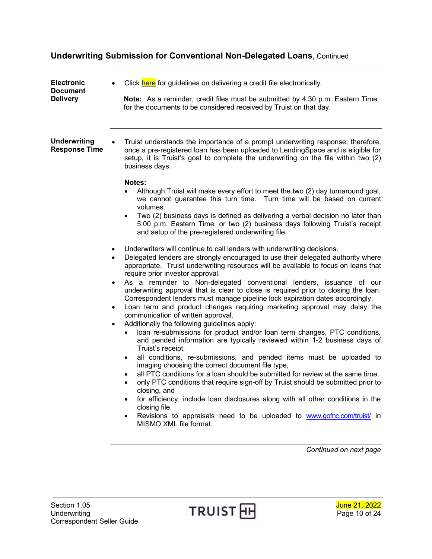<span id="page-9-1"></span><span id="page-9-0"></span>

| <b>Electronic</b><br><b>Document</b><br><b>Delivery</b> | Click here for guidelines on delivering a credit file electronically.<br><b>Note:</b> As a reminder, credit files must be submitted by 4:30 p.m. Eastern Time<br>for the documents to be considered received by Truist on that day.                                                                                                                                                                                                                                                                                                                                                                                                                                                                                                                                                                                                                                                                                                                                                                                                                                                                                                                                                                                                                                                                                                                                                                                                                                                                                                                                                                                                                                                                                                                                                                                                                                                                                                                                                                                                                                                                                                                                                 |
|---------------------------------------------------------|-------------------------------------------------------------------------------------------------------------------------------------------------------------------------------------------------------------------------------------------------------------------------------------------------------------------------------------------------------------------------------------------------------------------------------------------------------------------------------------------------------------------------------------------------------------------------------------------------------------------------------------------------------------------------------------------------------------------------------------------------------------------------------------------------------------------------------------------------------------------------------------------------------------------------------------------------------------------------------------------------------------------------------------------------------------------------------------------------------------------------------------------------------------------------------------------------------------------------------------------------------------------------------------------------------------------------------------------------------------------------------------------------------------------------------------------------------------------------------------------------------------------------------------------------------------------------------------------------------------------------------------------------------------------------------------------------------------------------------------------------------------------------------------------------------------------------------------------------------------------------------------------------------------------------------------------------------------------------------------------------------------------------------------------------------------------------------------------------------------------------------------------------------------------------------------|
| <b>Underwriting</b><br><b>Response Time</b>             | Truist understands the importance of a prompt underwriting response; therefore,<br>once a pre-registered loan has been uploaded to LendingSpace and is eligible for<br>setup, it is Truist's goal to complete the underwriting on the file within two (2)<br>business days.<br>Notes:<br>Although Truist will make every effort to meet the two (2) day turnaround goal,<br>we cannot guarantee this turn time. Turn time will be based on current<br>volumes.<br>Two (2) business days is defined as delivering a verbal decision no later than<br>5:00 p.m. Eastern Time, or two (2) business days following Truist's receipt<br>and setup of the pre-registered underwriting file.<br>Underwriters will continue to call lenders with underwriting decisions.<br>$\bullet$<br>Delegated lenders are strongly encouraged to use their delegated authority where<br>$\bullet$<br>appropriate. Truist underwriting resources will be available to focus on loans that<br>require prior investor approval.<br>As a reminder to Non-delegated conventional lenders, issuance of our<br>٠<br>underwriting approval that is clear to close is required prior to closing the loan.<br>Correspondent lenders must manage pipeline lock expiration dates accordingly.<br>Loan term and product changes requiring marketing approval may delay the<br>$\bullet$<br>communication of written approval.<br>Additionally the following guidelines apply:<br>٠<br>loan re-submissions for product and/or loan term changes, PTC conditions,<br>and pended information are typically reviewed within 1-2 business days of<br>Truist's receipt,<br>all conditions, re-submissions, and pended items must be uploaded to<br>$\bullet$<br>imaging choosing the correct document file type,<br>all PTC conditions for a loan should be submitted for review at the same time,<br>only PTC conditions that require sign-off by Truist should be submitted prior to<br>٠<br>closing, and<br>for efficiency, include loan disclosures along with all other conditions in the<br>closing file.<br>Revisions to appraisals need to be uploaded to www.gofnc.com/truist/ in<br>٠<br>MISMO XML file format. |
|                                                         | Continued on next page                                                                                                                                                                                                                                                                                                                                                                                                                                                                                                                                                                                                                                                                                                                                                                                                                                                                                                                                                                                                                                                                                                                                                                                                                                                                                                                                                                                                                                                                                                                                                                                                                                                                                                                                                                                                                                                                                                                                                                                                                                                                                                                                                              |



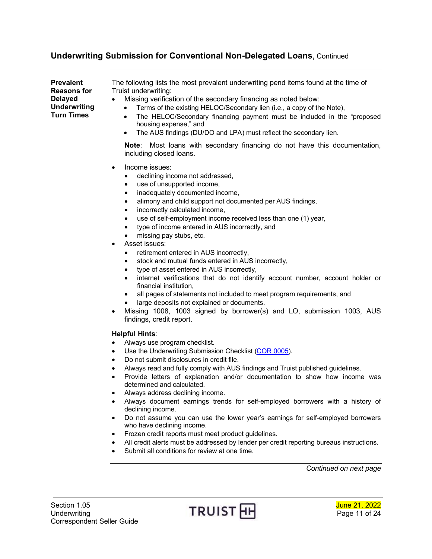<span id="page-10-0"></span>**Prevalent Reasons for Delayed Underwriting Turn Times** The following lists the most prevalent underwriting pend items found at the time of Truist underwriting: • Missing verification of the secondary financing as noted below: • Terms of the existing HELOC/Secondary lien (i.e., a copy of the Note), • The HELOC/Secondary financing payment must be included in the "proposed housing expense," and • The AUS findings (DU/DO and LPA) must reflect the secondary lien.

**Note**: Most loans with secondary financing do not have this documentation, including closed loans.

- Income issues:
	- declining income not addressed,
	- use of unsupported income,
	- inadequately documented income,
	- alimony and child support not documented per AUS findings,
	- incorrectly calculated income,
	- use of self-employment income received less than one (1) year,
	- type of income entered in AUS incorrectly, and
	- missing pay stubs, etc.
- Asset issues:
	- retirement entered in AUS incorrectly,
	- stock and mutual funds entered in AUS incorrectly,
	- type of asset entered in AUS incorrectly,
	- internet verifications that do not identify account number, account holder or financial institution,
	- all pages of statements not included to meet program requirements, and
	- large deposits not explained or documents.
- Missing 1008, 1003 signed by borrower(s) and LO, submission 1003, AUS findings, credit report.

#### **Helpful Hints**:

- Always use program checklist.
- Use the Underwriting Submission Checklist [\(COR 0005\)](http://www.truistsellerguide.com/manual/cor/forms/cor0005.pdf).
- Do not submit disclosures in credit file.
- Always read and fully comply with AUS findings and Truist published guidelines.
- Provide letters of explanation and/or documentation to show how income was determined and calculated.
- Always address declining income.
- Always document earnings trends for self-employed borrowers with a history of declining income.
- Do not assume you can use the lower year's earnings for self-employed borrowers who have declining income.
- Frozen credit reports must meet product guidelines.
- All credit alerts must be addressed by lender per credit reporting bureaus instructions.
- Submit all conditions for review at one time.

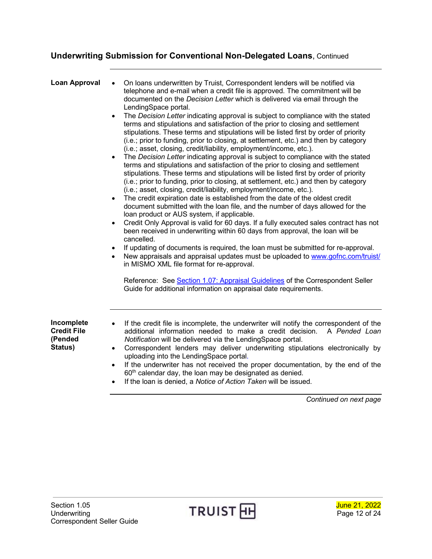<span id="page-11-0"></span>

| <b>Loan Approval</b>                                   | On loans underwritten by Truist, Correspondent lenders will be notified via<br>telephone and e-mail when a credit file is approved. The commitment will be<br>documented on the Decision Letter which is delivered via email through the<br>LendingSpace portal.<br>The Decision Letter indicating approval is subject to compliance with the stated<br>$\bullet$<br>terms and stipulations and satisfaction of the prior to closing and settlement<br>stipulations. These terms and stipulations will be listed first by order of priority<br>(i.e.; prior to funding, prior to closing, at settlement, etc.) and then by category<br>(i.e.; asset, closing, credit/liability, employment/income, etc.).<br>The Decision Letter indicating approval is subject to compliance with the stated<br>$\bullet$<br>terms and stipulations and satisfaction of the prior to closing and settlement<br>stipulations. These terms and stipulations will be listed first by order of priority<br>(i.e.; prior to funding, prior to closing, at settlement, etc.) and then by category<br>(i.e.; asset, closing, credit/liability, employment/income, etc.).<br>The credit expiration date is established from the date of the oldest credit<br>$\bullet$<br>document submitted with the loan file, and the number of days allowed for the<br>loan product or AUS system, if applicable.<br>Credit Only Approval is valid for 60 days. If a fully executed sales contract has not<br>$\bullet$<br>been received in underwriting within 60 days from approval, the loan will be<br>cancelled.<br>If updating of documents is required, the loan must be submitted for re-approval.<br>$\bullet$<br>New appraisals and appraisal updates must be uploaded to www.gofnc.com/truist/<br>$\bullet$<br>in MISMO XML file format for re-approval.<br>Reference: See Section 1.07: Appraisal Guidelines of the Correspondent Seller<br>Guide for additional information on appraisal date requirements. |
|--------------------------------------------------------|---------------------------------------------------------------------------------------------------------------------------------------------------------------------------------------------------------------------------------------------------------------------------------------------------------------------------------------------------------------------------------------------------------------------------------------------------------------------------------------------------------------------------------------------------------------------------------------------------------------------------------------------------------------------------------------------------------------------------------------------------------------------------------------------------------------------------------------------------------------------------------------------------------------------------------------------------------------------------------------------------------------------------------------------------------------------------------------------------------------------------------------------------------------------------------------------------------------------------------------------------------------------------------------------------------------------------------------------------------------------------------------------------------------------------------------------------------------------------------------------------------------------------------------------------------------------------------------------------------------------------------------------------------------------------------------------------------------------------------------------------------------------------------------------------------------------------------------------------------------------------------------------------------------------------------------------------------------------------------------|
| Incomplete<br><b>Credit File</b><br>(Pended<br>Status) | If the credit file is incomplete, the underwriter will notify the correspondent of the<br>$\bullet$<br>additional information needed to make a credit decision.<br>A Pended Loan<br>Notification will be delivered via the LendingSpace portal.<br>Correspondent lenders may deliver underwriting stipulations electronically by<br>$\bullet$<br>uploading into the LendingSpace portal.<br>If the underwriter has not received the proper documentation, by the end of the<br>60 <sup>th</sup> calendar day, the loan may be designated as denied.<br>If the leap is depied a Nation of Action $\tau$ oken will be issued                                                                                                                                                                                                                                                                                                                                                                                                                                                                                                                                                                                                                                                                                                                                                                                                                                                                                                                                                                                                                                                                                                                                                                                                                                                                                                                                                            |

<span id="page-11-1"></span>• If the loan is denied, a *Notice of Action Taken* will be issued.



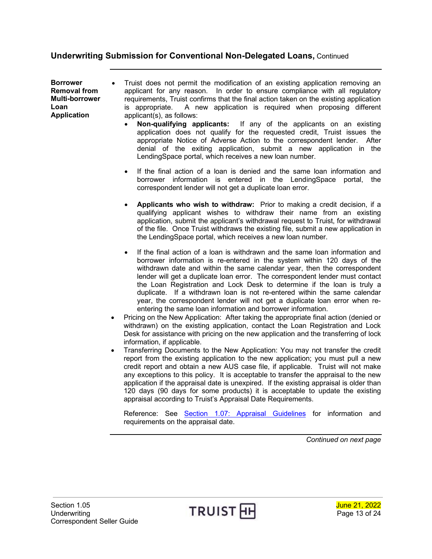<span id="page-12-0"></span>**Borrower Removal from Multi-borrower Loan Application**

• Truist does not permit the modification of an existing application removing an applicant for any reason. In order to ensure compliance with all regulatory requirements, Truist confirms that the final action taken on the existing application<br>is appropriate. A new application is required when proposing different A new application is required when proposing different applicant(s), as follows:

- **Non-qualifying applicants:** If any of the applicants on an existing application does not qualify for the requested credit, Truist issues the appropriate Notice of Adverse Action to the correspondent lender. After denial of the exiting application, submit a new application in the LendingSpace portal, which receives a new loan number.
- If the final action of a loan is denied and the same loan information and borrower information is entered in the LendingSpace portal, the correspondent lender will not get a duplicate loan error.
- **Applicants who wish to withdraw:** Prior to making a credit decision, if a qualifying applicant wishes to withdraw their name from an existing application, submit the applicant's withdrawal request to Truist, for withdrawal of the file. Once Truist withdraws the existing file, submit a new application in the LendingSpace portal, which receives a new loan number.
- If the final action of a loan is withdrawn and the same loan information and borrower information is re-entered in the system within 120 days of the withdrawn date and within the same calendar year, then the correspondent lender will get a duplicate loan error. The correspondent lender must contact the Loan Registration and Lock Desk to determine if the loan is truly a duplicate. If a withdrawn loan is not re-entered within the same calendar year, the correspondent lender will not get a duplicate loan error when reentering the same loan information and borrower information.
- Pricing on the New Application: After taking the appropriate final action (denied or withdrawn) on the existing application, contact the Loan Registration and Lock Desk for assistance with pricing on the new application and the transferring of lock information, if applicable.
- Transferring Documents to the New Application: You may not transfer the credit report from the existing application to the new application; you must pull a new credit report and obtain a new AUS case file, if applicable. Truist will not make any exceptions to this policy. It is acceptable to transfer the appraisal to the new application if the appraisal date is unexpired. If the existing appraisal is older than 120 days (90 days for some products) it is acceptable to update the existing appraisal according to Truist's Appraisal Date Requirements.

Reference: See [Section 1.07: Appraisal Guidelines](https://www.truistsellerguide.com/manual/cor/general/1.07Appraisals.pdf) for information and requirements on the appraisal date.



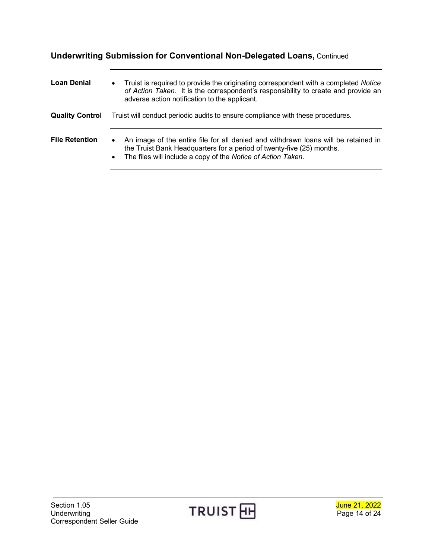<span id="page-13-2"></span><span id="page-13-1"></span><span id="page-13-0"></span>

| <b>Loan Denial</b>     | Truist is required to provide the originating correspondent with a completed Notice<br>$\bullet$<br>of Action Taken. It is the correspondent's responsibility to create and provide an<br>adverse action notification to the applicant.               |
|------------------------|-------------------------------------------------------------------------------------------------------------------------------------------------------------------------------------------------------------------------------------------------------|
| <b>Quality Control</b> | Truist will conduct periodic audits to ensure compliance with these procedures.                                                                                                                                                                       |
| <b>File Retention</b>  | An image of the entire file for all denied and withdrawn loans will be retained in<br>$\bullet$<br>the Truist Bank Headquarters for a period of twenty-five (25) months.<br>The files will include a copy of the Notice of Action Taken.<br>$\bullet$ |



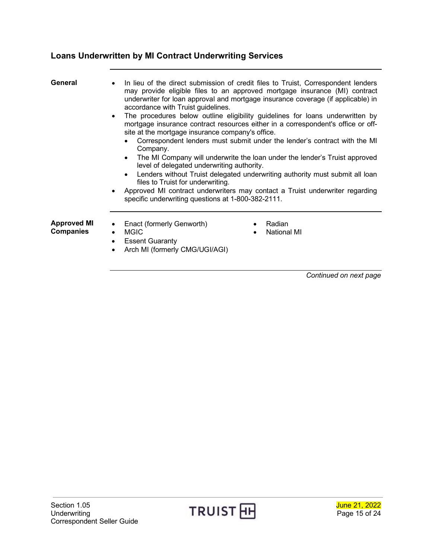# <span id="page-14-0"></span>**Loans Underwritten by MI Contract Underwriting Services**

<span id="page-14-2"></span><span id="page-14-1"></span>

| General                         | accordance with Truist guidelines.<br>site at the mortgage insurance company's office.<br>Company.<br>level of delegated underwriting authority.<br>files to Truist for underwriting.<br>$\bullet$<br>specific underwriting questions at 1-800-382-2111. | In lieu of the direct submission of credit files to Truist, Correspondent lenders<br>may provide eligible files to an approved mortgage insurance (MI) contract<br>underwriter for loan approval and mortgage insurance coverage (if applicable) in<br>The procedures below outline eligibility guidelines for loans underwritten by<br>mortgage insurance contract resources either in a correspondent's office or off-<br>Correspondent lenders must submit under the lender's contract with the MI<br>The MI Company will underwrite the loan under the lender's Truist approved<br>Lenders without Truist delegated underwriting authority must submit all loan<br>Approved MI contract underwriters may contact a Truist underwriter regarding |
|---------------------------------|----------------------------------------------------------------------------------------------------------------------------------------------------------------------------------------------------------------------------------------------------------|-----------------------------------------------------------------------------------------------------------------------------------------------------------------------------------------------------------------------------------------------------------------------------------------------------------------------------------------------------------------------------------------------------------------------------------------------------------------------------------------------------------------------------------------------------------------------------------------------------------------------------------------------------------------------------------------------------------------------------------------------------|
| <b>Approved MI</b><br>Companies | Enact (formerly Genworth)<br><b>MGIC</b><br>$\bullet$<br><b>Essent Guaranty</b><br>$\bullet$<br>Arch MI (formerly CMG/UGI/AGI)<br>٠                                                                                                                      | Radian<br>$\bullet$<br><b>National MI</b><br>$\bullet$                                                                                                                                                                                                                                                                                                                                                                                                                                                                                                                                                                                                                                                                                              |



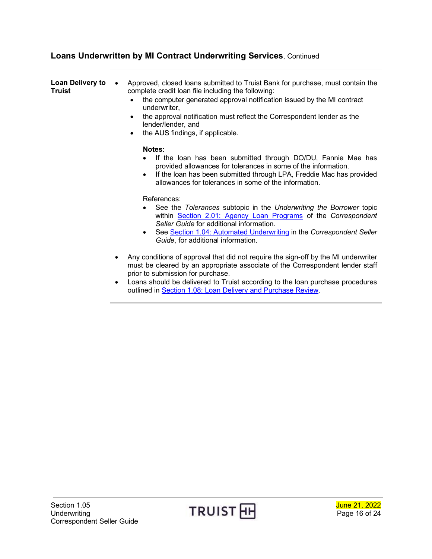# **Loans Underwritten by MI Contract Underwriting Services**, Continued

<span id="page-15-0"></span>

| <b>Loan Delivery to</b><br>Truist | Approved, closed loans submitted to Truist Bank for purchase, must contain the<br>complete credit loan file including the following:<br>the computer generated approval notification issued by the MI contract<br>underwriter,<br>the approval notification must reflect the Correspondent lender as the<br>$\bullet$<br>lender/lender, and<br>the AUS findings, if applicable.<br>٠ |
|-----------------------------------|--------------------------------------------------------------------------------------------------------------------------------------------------------------------------------------------------------------------------------------------------------------------------------------------------------------------------------------------------------------------------------------|
|                                   | Notes:<br>If the loan has been submitted through DO/DU, Fannie Mae has<br>provided allowances for tolerances in some of the information.<br>If the loan has been submitted through LPA, Freddie Mac has provided<br>$\bullet$<br>allowances for tolerances in some of the information.                                                                                               |
|                                   | References:<br>See the Tolerances subtopic in the Underwriting the Borrower topic<br>within Section 2.01: Agency Loan Programs of the Correspondent<br>Seller Guide for additional information.<br>See Section 1.04: Automated Underwriting in the Correspondent Seller<br>Guide, for additional information.                                                                        |
|                                   | Any conditions of approval that did not require the sign-off by the MI underwriter<br>must be cleared by an appropriate associate of the Correspondent lender staff<br>prior to submission for purchase.<br>Loope about de delivered to Truist according to the loop purchase procedures                                                                                             |

• Loans should be delivered to Truist according to the loan purchase procedures outlined in Section 1.08: [Loan Delivery and Purchase Review.](https://www.truistsellerguide.com/manual/cor/general/1.08loandel.pdf)



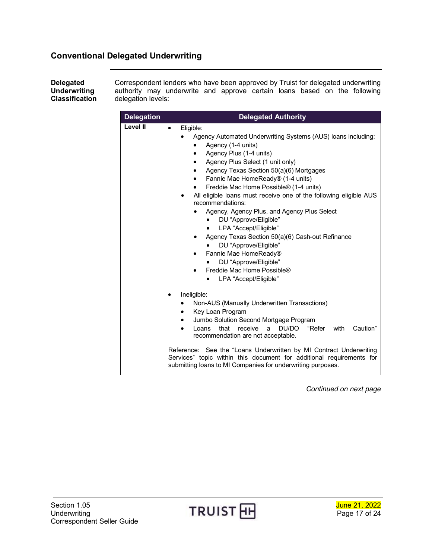### <span id="page-16-0"></span>**Conventional Delegated Underwriting**

<span id="page-16-1"></span>**Delegated Underwriting Classification**

Correspondent lenders who have been approved by Truist for delegated underwriting authority may underwrite and approve certain loans based on the following delegation levels:

| <b>Delegation</b> | <b>Delegated Authority</b>                                                                                                                                                                                                                                                                                                                                                                                                                                                                                                                                                                                                                                                                              |
|-------------------|---------------------------------------------------------------------------------------------------------------------------------------------------------------------------------------------------------------------------------------------------------------------------------------------------------------------------------------------------------------------------------------------------------------------------------------------------------------------------------------------------------------------------------------------------------------------------------------------------------------------------------------------------------------------------------------------------------|
| Level II          | Eligible:<br>$\bullet$<br>Agency Automated Underwriting Systems (AUS) loans including:<br>Agency (1-4 units)<br>Agency Plus (1-4 units)<br>Agency Plus Select (1 unit only)<br>Agency Texas Section 50(a)(6) Mortgages<br>٠<br>Fannie Mae HomeReady® (1-4 units)<br>$\bullet$<br>Freddie Mac Home Possible® (1-4 units)<br>All eligible loans must receive one of the following eligible AUS<br>recommendations:<br>Agency, Agency Plus, and Agency Plus Select<br>DU "Approve/Eligible"<br>LPA "Accept/Eligible"<br>Agency Texas Section 50(a)(6) Cash-out Refinance<br>DU "Approve/Eligible"<br>Fannie Mae HomeReady®<br>DU "Approve/Eligible"<br>Freddie Mac Home Possible®<br>LPA "Accept/Eligible" |
|                   | Ineligible:<br>Non-AUS (Manually Underwritten Transactions)<br>Key Loan Program<br>Jumbo Solution Second Mortgage Program<br>that<br>receive<br>DU/DO<br>"Refer<br>with<br>Caution"<br>a.<br>Loans<br>recommendation are not acceptable.<br>Reference: See the "Loans Underwritten by MI Contract Underwriting<br>Services" topic within this document for additional requirements for<br>submitting loans to MI Companies for underwriting purposes.                                                                                                                                                                                                                                                   |



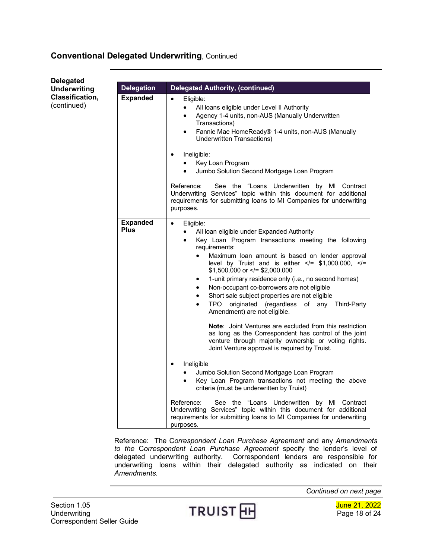### **Conventional Delegated Underwriting**, Continued

| <b>Delegated</b>                      |                                |                                                                                                                                                                                                                                                                                                                                                                                                                                                                                                                                                                                                                                                                                                                                                                                                                                                                                                                                                                                                                                                                                                                                                                                                                                                               |
|---------------------------------------|--------------------------------|---------------------------------------------------------------------------------------------------------------------------------------------------------------------------------------------------------------------------------------------------------------------------------------------------------------------------------------------------------------------------------------------------------------------------------------------------------------------------------------------------------------------------------------------------------------------------------------------------------------------------------------------------------------------------------------------------------------------------------------------------------------------------------------------------------------------------------------------------------------------------------------------------------------------------------------------------------------------------------------------------------------------------------------------------------------------------------------------------------------------------------------------------------------------------------------------------------------------------------------------------------------|
| <b>Underwriting</b>                   | <b>Delegation</b>              | <b>Delegated Authority, (continued)</b>                                                                                                                                                                                                                                                                                                                                                                                                                                                                                                                                                                                                                                                                                                                                                                                                                                                                                                                                                                                                                                                                                                                                                                                                                       |
| <b>Classification,</b><br>(continued) | <b>Expanded</b>                | Eligible:<br>$\bullet$<br>All loans eligible under Level II Authority<br>$\bullet$<br>Agency 1-4 units, non-AUS (Manually Underwritten<br>Transactions)<br>Fannie Mae HomeReady® 1-4 units, non-AUS (Manually<br>$\bullet$<br>Underwritten Transactions)<br>Ineligible:<br>٠<br>Key Loan Program                                                                                                                                                                                                                                                                                                                                                                                                                                                                                                                                                                                                                                                                                                                                                                                                                                                                                                                                                              |
|                                       |                                | Jumbo Solution Second Mortgage Loan Program                                                                                                                                                                                                                                                                                                                                                                                                                                                                                                                                                                                                                                                                                                                                                                                                                                                                                                                                                                                                                                                                                                                                                                                                                   |
|                                       |                                | Reference:<br>See the "Loans Underwritten by MI Contract<br>Underwriting Services" topic within this document for additional<br>requirements for submitting loans to MI Companies for underwriting<br>purposes.                                                                                                                                                                                                                                                                                                                                                                                                                                                                                                                                                                                                                                                                                                                                                                                                                                                                                                                                                                                                                                               |
|                                       | <b>Expanded</b><br><b>Plus</b> | $\bullet$<br>Eligible:<br>All loan eligible under Expanded Authority<br>$\bullet$<br>Key Loan Program transactions meeting the following<br>$\bullet$<br>requirements:<br>Maximum loan amount is based on lender approval<br>$\bullet$<br>level by Truist and is either $\lt$ = \$1,000,000, $\lt$ =<br>$$1,500,000$ or $\le$ /= \$2,000.000<br>1-unit primary residence only (i.e., no second homes)<br>٠<br>Non-occupant co-borrowers are not eligible<br>Short sale subject properties are not eligible<br>originated (regardless of any Third-Party<br>TPO<br>$\bullet$<br>Amendment) are not eligible.<br><b>Note:</b> Joint Ventures are excluded from this restriction<br>as long as the Correspondent has control of the joint<br>venture through majority ownership or voting rights.<br>Joint Venture approval is required by Truist.<br>Ineligible<br>$\bullet$<br>Jumbo Solution Second Mortgage Loan Program<br>Key Loan Program transactions not meeting the above<br>$\bullet$<br>criteria (must be underwritten by Truist)<br>Reference:<br>See the "Loans Underwritten by MI Contract<br>Underwriting Services" topic within this document for additional<br>requirements for submitting loans to MI Companies for underwriting<br>purposes. |

Reference: The C*orrespondent Loan Purchase Agreement* and any *Amendments to the* C*orrespondent Loan Purchase Agreement* specify the lender's level of delegated underwriting authority. Correspondent lenders are responsible for underwriting loans within their delegated authority as indicated on their *Amendments.*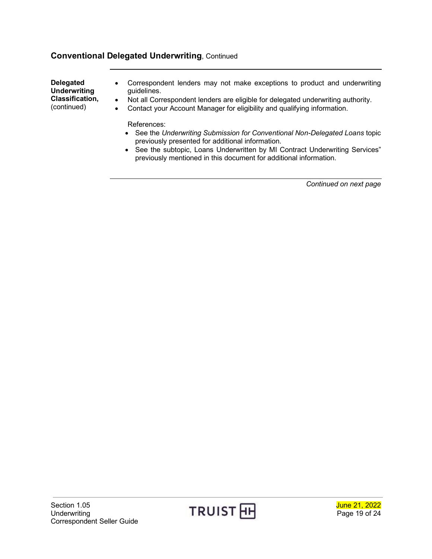### **Conventional Delegated Underwriting**, Continued

**Delegated Underwriting Classification,** (continued)

- Correspondent lenders may not make exceptions to product and underwriting guidelines.
- Not all Correspondent lenders are eligible for delegated underwriting authority.
- Contact your Account Manager for eligibility and qualifying information.

References:

- See the *Underwriting Submission for Conventional Non-Delegated Loans* topic previously presented for additional information.
- See the subtopic, Loans Underwritten by MI Contract Underwriting Services" previously mentioned in this document for additional information.

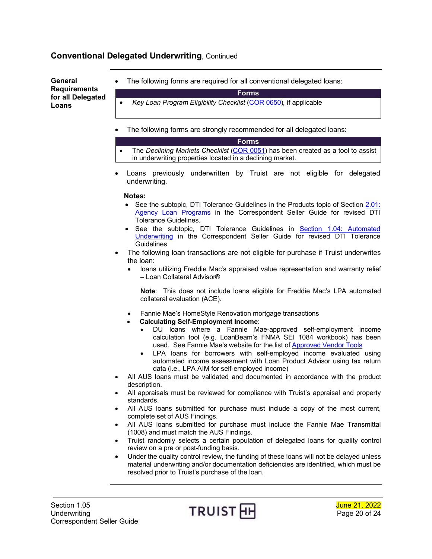### **Conventional Delegated Underwriting**, Continued

<span id="page-19-0"></span>**General Requirements for all Delegated Loans**

The following forms are required for all conventional delegated loans:

**Forms**

- *Key Loan Program Eligibility Checklist* [\(COR 0650\)](https://www.truistsellerguide.com/manual/cor/forms/COR0650.pdf)*,* if applicable
- The following forms are strongly recommended for all delegated loans:
- **Forms** • The *Declining Markets Checklist* [\(COR 0051\)](http://www.truistsellerguide.com/manual/cor/forms/cor0051.pdf) has been created as a tool to assist in underwriting properties located in a declining market.
- Loans previously underwritten by Truist are not eligible for delegated underwriting.

#### **Notes:**

- See the subtopic, DTI Tolerance Guidelines in the Products topic of Section 2.01: [Agency Loan Programs](https://www.truistsellerguide.com/manual/cor/products/cagency.pdf) in the Correspondent Seller Guide for revised DTI Tolerance Guidelines.
- See the subtopic, DTI Tolerance Guidelines in [Section 1.04: Automated](https://www.truistsellerguide.com/manual/cor/general/1.04aus.pdf)  [Underwriting](https://www.truistsellerguide.com/manual/cor/general/1.04aus.pdf) in the Correspondent Seller Guide for revised DTI Tolerance **Guidelines**
- The following loan transactions are not eligible for purchase if Truist underwrites the loan:
	- loans utilizing Freddie Mac's appraised value representation and warranty relief – Loan Collateral Advisor®

**Note**: This does not include loans eligible for Freddie Mac's LPA automated collateral evaluation (ACE).

- Fannie Mae's HomeStyle Renovation mortgage transactions
- **Calculating Self-Employment Income**:
	- DU loans where a Fannie Mae-approved self-employment income calculation tool (e.g. LoanBeam's FNMA SEI 1084 workbook) has been used. See Fannie Mae's website for the list of [Approved Vendor Tools](https://singlefamily.fanniemae.com/applications-technology/desktop-underwriter-validation-service/du-validation-service-verification-report-vendors)
	- LPA loans for borrowers with self-employed income evaluated using automated income assessment with Loan Product Advisor using tax return data (i.e., LPA AIM for self-employed income)
- All AUS loans must be validated and documented in accordance with the product description.
- All appraisals must be reviewed for compliance with Truist's appraisal and property standards.
- All AUS loans submitted for purchase must include a copy of the most current, complete set of AUS Findings.
- All AUS loans submitted for purchase must include the Fannie Mae Transmittal (1008) and must match the AUS Findings.
- Truist randomly selects a certain population of delegated loans for quality control review on a pre or post-funding basis.
- Under the quality control review, the funding of these loans will not be delayed unless material underwriting and/or documentation deficiencies are identified, which must be resolved prior to Truist's purchase of the loan.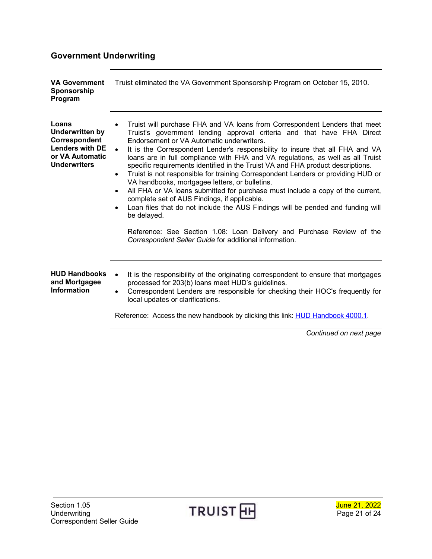# <span id="page-20-0"></span>**Government Underwriting**

<span id="page-20-3"></span><span id="page-20-2"></span><span id="page-20-1"></span>

| <b>VA Government</b><br>Sponsorship<br>Program                                                                       | Truist eliminated the VA Government Sponsorship Program on October 15, 2010.                                                                                                                                                                                                                                                                                                                                                                                                                                                                                                                                                                                                                                                                                                                                                                                                                                                                                                       |
|----------------------------------------------------------------------------------------------------------------------|------------------------------------------------------------------------------------------------------------------------------------------------------------------------------------------------------------------------------------------------------------------------------------------------------------------------------------------------------------------------------------------------------------------------------------------------------------------------------------------------------------------------------------------------------------------------------------------------------------------------------------------------------------------------------------------------------------------------------------------------------------------------------------------------------------------------------------------------------------------------------------------------------------------------------------------------------------------------------------|
| Loans<br><b>Underwritten by</b><br>Correspondent<br><b>Lenders with DE</b><br>or VA Automatic<br><b>Underwriters</b> | Truist will purchase FHA and VA loans from Correspondent Lenders that meet<br>Truist's government lending approval criteria and that have FHA Direct<br>Endorsement or VA Automatic underwriters.<br>It is the Correspondent Lender's responsibility to insure that all FHA and VA<br>loans are in full compliance with FHA and VA regulations, as well as all Truist<br>specific requirements identified in the Truist VA and FHA product descriptions.<br>Truist is not responsible for training Correspondent Lenders or providing HUD or<br>$\bullet$<br>VA handbooks, mortgagee letters, or bulletins.<br>All FHA or VA loans submitted for purchase must include a copy of the current,<br>complete set of AUS Findings, if applicable.<br>Loan files that do not include the AUS Findings will be pended and funding will<br>be delayed.<br>Reference: See Section 1.08: Loan Delivery and Purchase Review of the<br>Correspondent Seller Guide for additional information. |
| <b>HUD Handbooks</b><br>and Mortgagee<br><b>Information</b>                                                          | It is the responsibility of the originating correspondent to ensure that mortgages<br>$\bullet$<br>processed for 203(b) loans meet HUD's guidelines.<br>Correspondent Lenders are responsible for checking their HOC's frequently for<br>$\bullet$<br>local updates or clarifications.<br>Reference: Access the new handbook by clicking this link: HUD Handbook 4000.1.                                                                                                                                                                                                                                                                                                                                                                                                                                                                                                                                                                                                           |



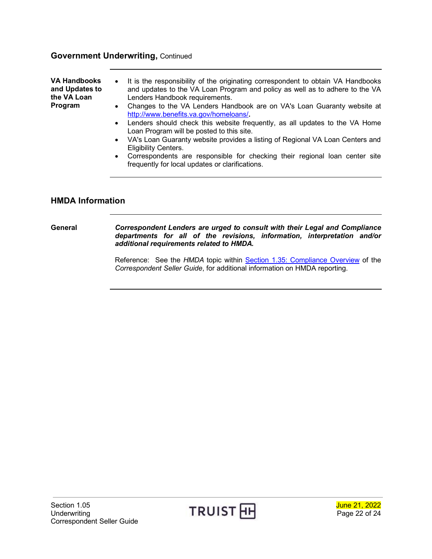#### **Government Underwriting,** Continued

<span id="page-21-0"></span>

| <b>VA Handbooks</b><br>and Updates to<br>the VA Loan<br>Program | • It is the responsibility of the originating correspondent to obtain VA Handbooks<br>and updates to the VA Loan Program and policy as well as to adhere to the VA<br>Lenders Handbook requirements.<br>Changes to the VA Lenders Handbook are on VA's Loan Guaranty website at<br>http://www.benefits.va.gov/homeloans/ |
|-----------------------------------------------------------------|--------------------------------------------------------------------------------------------------------------------------------------------------------------------------------------------------------------------------------------------------------------------------------------------------------------------------|
|                                                                 | Lenders should check this website frequently, as all updates to the VA Home<br>Loan Program will be posted to this site.                                                                                                                                                                                                 |

- VA's Loan Guaranty website provides a listing of Regional VA Loan Centers and Eligibility Centers.
- Correspondents are responsible for checking their regional loan center site frequently for local updates or clarifications.

#### <span id="page-21-1"></span>**HMDA Information**

<span id="page-21-2"></span>**General** *Correspondent Lenders are urged to consult with their Legal and Compliance departments for all of the revisions, information, interpretation and/or additional requirements related to HMDA.*

> Reference: See the *HMDA* topic within **Section 1.35: Compliance Overview** of the *Correspondent Seller Guide*, for additional information on HMDA reporting.

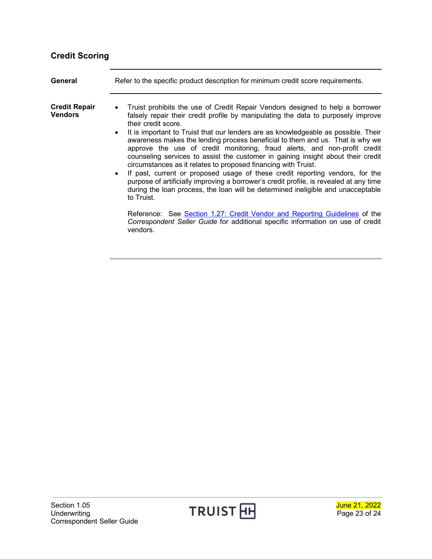# <span id="page-22-0"></span>**Credit Scoring**

<span id="page-22-2"></span><span id="page-22-1"></span>

| General                                | Refer to the specific product description for minimum credit score requirements.                                                                                                                                                                                                                                                                                                                                                                                                                                                                                                                                                                                                                                                                                                                                                                                                                                                                                                                                                                                  |
|----------------------------------------|-------------------------------------------------------------------------------------------------------------------------------------------------------------------------------------------------------------------------------------------------------------------------------------------------------------------------------------------------------------------------------------------------------------------------------------------------------------------------------------------------------------------------------------------------------------------------------------------------------------------------------------------------------------------------------------------------------------------------------------------------------------------------------------------------------------------------------------------------------------------------------------------------------------------------------------------------------------------------------------------------------------------------------------------------------------------|
| <b>Credit Repair</b><br><b>Vendors</b> | • Truist prohibits the use of Credit Repair Vendors designed to help a borrower<br>falsely repair their credit profile by manipulating the data to purposely improve<br>their credit score.<br>It is important to Truist that our lenders are as knowledgeable as possible. Their<br>awareness makes the lending process beneficial to them and us. That is why we<br>approve the use of credit monitoring, fraud alerts, and non-profit credit<br>counseling services to assist the customer in gaining insight about their credit<br>circumstances as it relates to proposed financing with Truist.<br>• If past, current or proposed usage of these credit reporting vendors, for the<br>purpose of artificially improving a borrower's credit profile, is revealed at any time<br>during the loan process, the loan will be determined ineligible and unacceptable<br>to Truist.<br>Reference: See Section 1.27: Credit Vendor and Reporting Guidelines of the<br>Correspondent Seller Guide for additional specific information on use of credit<br>vendors. |
|                                        |                                                                                                                                                                                                                                                                                                                                                                                                                                                                                                                                                                                                                                                                                                                                                                                                                                                                                                                                                                                                                                                                   |